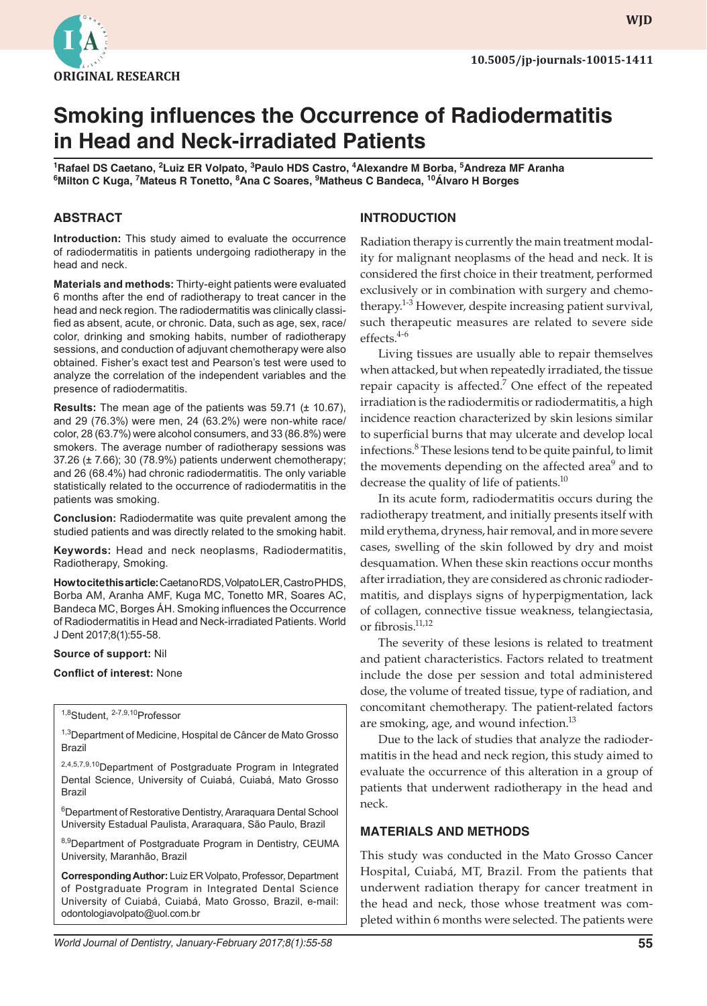

**wjd WJD**

# **Smoking influences the Occurrence of Radiodermatitis in Head and Neck-irradiated Patients**

 $^1$ Rafael DS Caetano,  $^2$ Luiz ER Volpato,  $^3$ Paulo HDS Castro,  $^4$ Alexandre M Borba,  $^5$ Andreza MF Aranha **6 Milton C Kuga, <sup>7</sup> Mateus R Tonetto, <sup>8</sup> Ana C Soares, <sup>9</sup> Matheus C Bandeca, <sup>10</sup>Álvaro H Borges**

### **ABSTRACT**

**Introduction:** This study aimed to evaluate the occurrence of radiodermatitis in patients undergoing radiotherapy in the head and neck.

**Materials and methods:** Thirty-eight patients were evaluated 6 months after the end of radiotherapy to treat cancer in the head and neck region. The radiodermatitis was clinically classified as absent, acute, or chronic. Data, such as age, sex, race/ color, drinking and smoking habits, number of radiotherapy sessions, and conduction of adjuvant chemotherapy were also obtained. Fisher's exact test and Pearson's test were used to analyze the correlation of the independent variables and the presence of radiodermatitis.

**Results:** The mean age of the patients was 59.71 (± 10.67), and 29 (76.3%) were men, 24 (63.2%) were non-white race/ color, 28 (63.7%) were alcohol consumers, and 33 (86.8%) were smokers. The average number of radiotherapy sessions was 37.26 (± 7.66); 30 (78.9%) patients underwent chemotherapy; and 26 (68.4%) had chronic radiodermatitis. The only variable statistically related to the occurrence of radiodermatitis in the patients was smoking.

**Conclusion:** Radiodermatite was quite prevalent among the studied patients and was directly related to the smoking habit.

**Keywords:** Head and neck neoplasms, Radiodermatitis, Radiotherapy, Smoking.

**How to cite this article:** Caetano RDS, Volpato LER, Castro PHDS, Borba AM, Aranha AMF, Kuga MC, Tonetto MR, Soares AC, Bandeca MC, Borges ÁH. Smoking influences the Occurrence of Radiodermatitis in Head and Neck-irradiated Patients. World J Dent 2017;8(1):55-58.

#### **Source of support:** Nil

#### **Conflict of interest:** None

1,8Student, 2-7,9,10Professor

<sup>1,3</sup>Department of Medicine, Hospital de Câncer de Mato Grosso Brazil

2,4,5,7,9,10 Department of Postgraduate Program in Integrated Dental Science, University of Cuiabá, Cuiabá, Mato Grosso Brazil

6 Department of Restorative Dentistry, Araraquara Dental School University Estadual Paulista, Araraquara, São Paulo, Brazil

8,9Department of Postgraduate Program in Dentistry, CEUMA University, Maranhão, Brazil

**Corresponding Author:** Luiz ER Volpato, Professor, Department of Postgraduate Program in Integrated Dental Science University of Cuiabá, Cuiabá, Mato Grosso, Brazil, e-mail: odontologiavolpato@uol.com.br

#### **INTRODUCTION**

Radiation therapy is currently the main treatment modality for malignant neoplasms of the head and neck. It is considered the first choice in their treatment, performed exclusively or in combination with surgery and chemotherapy.<sup>1-3</sup> However, despite increasing patient survival, such therapeutic measures are related to severe side effects. $4-6$ 

Living tissues are usually able to repair themselves when attacked, but when repeatedly irradiated, the tissue repair capacity is affected.<sup>7</sup> One effect of the repeated irradiation is the radiodermitis or radiodermatitis, a high incidence reaction characterized by skin lesions similar to superficial burns that may ulcerate and develop local infections.<sup>8</sup> These lesions tend to be quite painful, to limit the movements depending on the affected area<sup>9</sup> and to decrease the quality of life of patients.<sup>10</sup>

In its acute form, radiodermatitis occurs during the radiotherapy treatment, and initially presents itself with mild erythema, dryness, hair removal, and in more severe cases, swelling of the skin followed by dry and moist desquamation. When these skin reactions occur months after irradiation, they are considered as chronic radiodermatitis, and displays signs of hyperpigmentation, lack of collagen, connective tissue weakness, telangiectasia, or fibrosis.<sup>11,12</sup>

The severity of these lesions is related to treatment and patient characteristics. Factors related to treatment include the dose per session and total administered dose, the volume of treated tissue, type of radiation, and concomitant chemotherapy. The patient-related factors are smoking, age, and wound infection.<sup>13</sup>

Due to the lack of studies that analyze the radiodermatitis in the head and neck region, this study aimed to evaluate the occurrence of this alteration in a group of patients that underwent radiotherapy in the head and neck.

## **MATERIALS AND METHODS**

This study was conducted in the Mato Grosso Cancer Hospital, Cuiabá, MT, Brazil. From the patients that underwent radiation therapy for cancer treatment in the head and neck, those whose treatment was completed within 6 months were selected. The patients were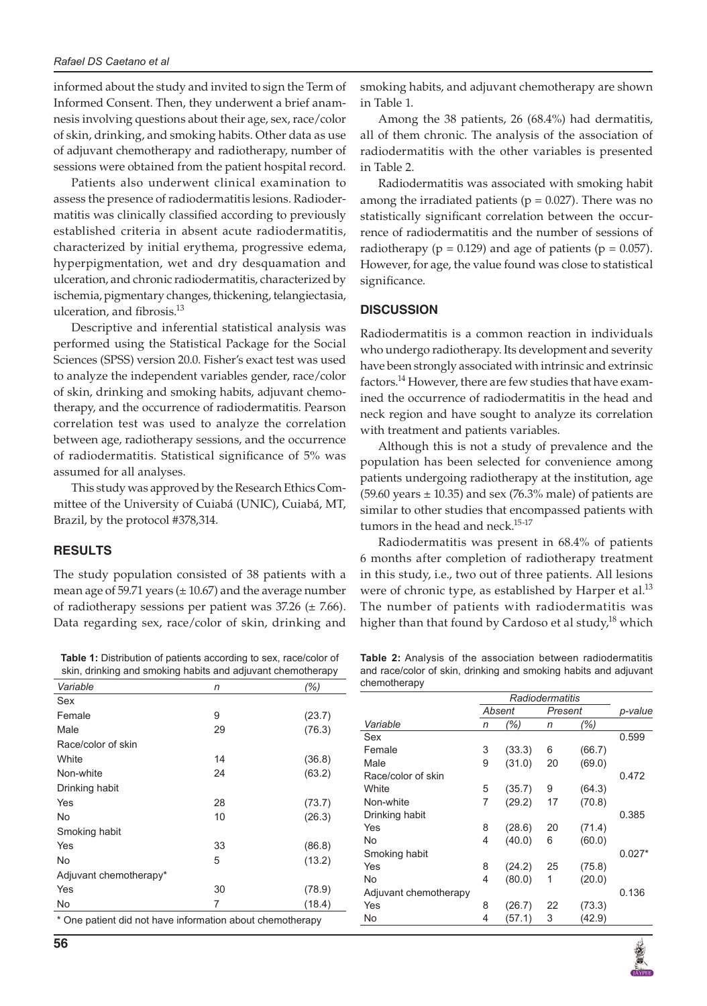informed about the study and invited to sign the Term of Informed Consent. Then, they underwent a brief anamnesis involving questions about their age, sex, race/color of skin, drinking, and smoking habits. Other data as use of adjuvant chemotherapy and radiotherapy, number of sessions were obtained from the patient hospital record.

Patients also underwent clinical examination to assess the presence of radiodermatitis lesions. Radiodermatitis was clinically classified according to previously established criteria in absent acute radiodermatitis, characterized by initial erythema, progressive edema, hyperpigmentation, wet and dry desquamation and ulceration, and chronic radiodermatitis, characterized by ischemia, pigmentary changes, thickening, telangiectasia, ulceration, and fibrosis. $^{13}$ 

Descriptive and inferential statistical analysis was performed using the Statistical Package for the Social Sciences (SPSS) version 20.0. Fisher's exact test was used to analyze the independent variables gender, race/color of skin, drinking and smoking habits, adjuvant chemotherapy, and the occurrence of radiodermatitis. Pearson correlation test was used to analyze the correlation between age, radiotherapy sessions, and the occurrence of radiodermatitis. Statistical significance of 5% was assumed for all analyses.

This study was approved by the Research Ethics Committee of the University of Cuiabá (UNIC), Cuiabá, MT, Brazil, by the protocol #378,314.

### **RESULTS**

The study population consisted of 38 patients with a mean age of 59.71 years  $(\pm 10.67)$  and the average number of radiotherapy sessions per patient was  $37.26$  ( $\pm$  7.66). Data regarding sex, race/color of skin, drinking and

**Table 1:** Distribution of patients according to sex, race/color of skin, drinking and smoking habits and adjuvant chemotherapy

| Variable                                                  | n  | (%)    |  |  |  |  |
|-----------------------------------------------------------|----|--------|--|--|--|--|
| Sex                                                       |    |        |  |  |  |  |
| Female                                                    | 9  | (23.7) |  |  |  |  |
| Male                                                      | 29 | (76.3) |  |  |  |  |
| Race/color of skin                                        |    |        |  |  |  |  |
| White                                                     | 14 | (36.8) |  |  |  |  |
| Non-white                                                 | 24 | (63.2) |  |  |  |  |
| Drinking habit                                            |    |        |  |  |  |  |
| Yes                                                       | 28 | (73.7) |  |  |  |  |
| No                                                        | 10 | (26.3) |  |  |  |  |
| Smoking habit                                             |    |        |  |  |  |  |
| Yes                                                       | 33 | (86.8) |  |  |  |  |
| No                                                        | 5  | (13.2) |  |  |  |  |
| Adjuvant chemotherapy*                                    |    |        |  |  |  |  |
| Yes                                                       | 30 | (78.9) |  |  |  |  |
| No                                                        | 7  | (18.4) |  |  |  |  |
| * One patient did not have information about chemotherapy |    |        |  |  |  |  |

smoking habits, and adjuvant chemotherapy are shown in Table 1.

Among the 38 patients, 26 (68.4%) had dermatitis, all of them chronic. The analysis of the association of radiodermatitis with the other variables is presented in Table 2.

Radiodermatitis was associated with smoking habit among the irradiated patients ( $p = 0.027$ ). There was no statistically significant correlation between the occurrence of radiodermatitis and the number of sessions of radiotherapy ( $p = 0.129$ ) and age of patients ( $p = 0.057$ ). However, for age, the value found was close to statistical significance.

## **DISCUSSION**

Radiodermatitis is a common reaction in individuals who undergo radiotherapy. Its development and severity have been strongly associated with intrinsic and extrinsic factors.14 However, there are few studies that have examined the occurrence of radiodermatitis in the head and neck region and have sought to analyze its correlation with treatment and patients variables.

Although this is not a study of prevalence and the population has been selected for convenience among patients undergoing radiotherapy at the institution, age (59.60 years  $\pm$  10.35) and sex (76.3% male) of patients are similar to other studies that encompassed patients with tumors in the head and neck.<sup>15-17</sup>

Radiodermatitis was present in 68.4% of patients 6 months after completion of radiotherapy treatment in this study, i.e., two out of three patients. All lesions were of chronic type, as established by Harper et al. $^{13}$ The number of patients with radiodermatitis was higher than that found by Cardoso et al study,<sup>18</sup> which

| <b>Table 2:</b> Analysis of the association between radiodermatitis |  |  |  |  |  |  |  |
|---------------------------------------------------------------------|--|--|--|--|--|--|--|
| and race/color of skin, drinking and smoking habits and adjuvant    |  |  |  |  |  |  |  |
| chemotherapy                                                        |  |  |  |  |  |  |  |

|                       |   | Absent | Present |        | p-value  |  |
|-----------------------|---|--------|---------|--------|----------|--|
| Variable              | n | (% )   | n       | (%)    |          |  |
| Sex                   |   |        |         |        | 0.599    |  |
| Female                | 3 | (33.3) | 6       | (66.7) |          |  |
| Male                  | 9 | (31.0) | 20      | (69.0) |          |  |
| Race/color of skin    |   |        |         |        | 0.472    |  |
| White                 | 5 | (35.7) | 9       | (64.3) |          |  |
| Non-white             | 7 | (29.2) | 17      | (70.8) |          |  |
| Drinking habit        |   |        |         |        | 0.385    |  |
| Yes                   | 8 | (28.6) | 20      | (71.4) |          |  |
| No                    | 4 | (40.0) | 6       | (60.0) |          |  |
| Smoking habit         |   |        |         |        | $0.027*$ |  |
| Yes                   | 8 | (24.2) | 25      | (75.8) |          |  |
| No                    | 4 | (80.0) | 1       | (20.0) |          |  |
| Adjuvant chemotherapy |   |        |         |        | 0.136    |  |
| Yes                   | 8 | (26.7) | 22      | (73.3) |          |  |
| No                    | 4 | (57.1) | 3       | (42.9) |          |  |
|                       |   |        |         |        |          |  |

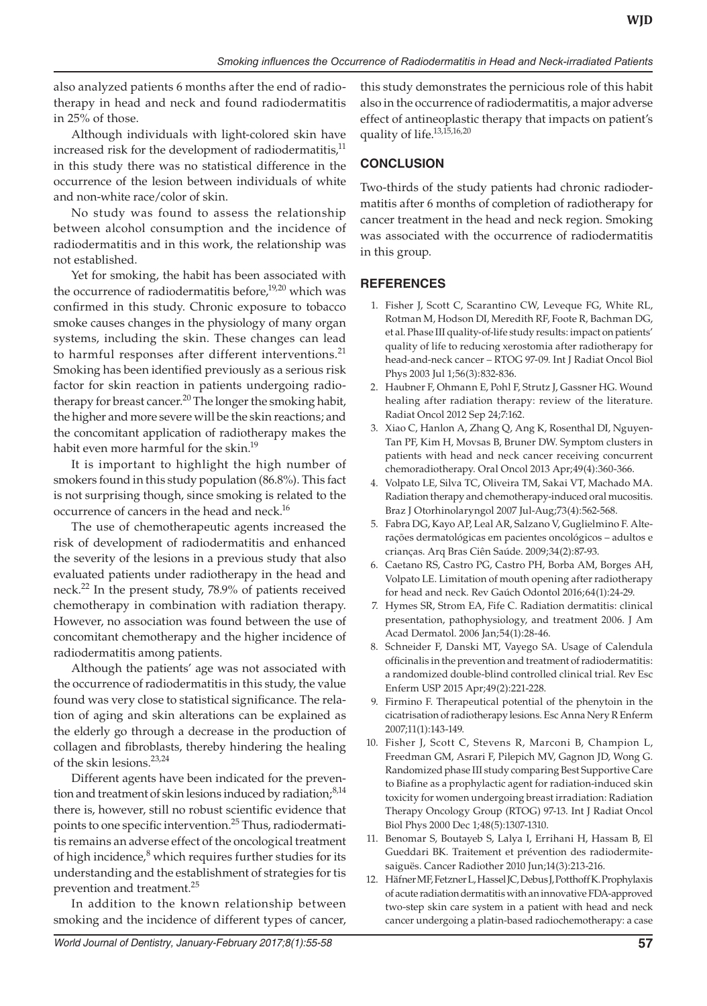also analyzed patients 6 months after the end of radiotherapy in head and neck and found radiodermatitis in 25% of those.

Although individuals with light-colored skin have increased risk for the development of radiodermatitis,<sup>11</sup> in this study there was no statistical difference in the occurrence of the lesion between individuals of white and non-white race/color of skin.

No study was found to assess the relationship between alcohol consumption and the incidence of radiodermatitis and in this work, the relationship was not established.

Yet for smoking, the habit has been associated with the occurrence of radiodermatitis before,<sup>19,20</sup> which was confirmed in this study. Chronic exposure to tobacco smoke causes changes in the physiology of many organ systems, including the skin. These changes can lead to harmful responses after different interventions.<sup>21</sup> Smoking has been identified previously as a serious risk factor for skin reaction in patients undergoing radiotherapy for breast cancer.<sup>20</sup> The longer the smoking habit, the higher and more severe will be the skin reactions; and the concomitant application of radiotherapy makes the habit even more harmful for the skin.<sup>19</sup>

It is important to highlight the high number of smokers found in this study population (86.8%). This fact is not surprising though, since smoking is related to the occurrence of cancers in the head and neck.<sup>16</sup>

The use of chemotherapeutic agents increased the risk of development of radiodermatitis and enhanced the severity of the lesions in a previous study that also evaluated patients under radiotherapy in the head and neck.22 In the present study, 78.9% of patients received chemotherapy in combination with radiation therapy. However, no association was found between the use of concomitant chemotherapy and the higher incidence of radiodermatitis among patients.

Although the patients' age was not associated with the occurrence of radiodermatitis in this study, the value found was very close to statistical significance. The relation of aging and skin alterations can be explained as the elderly go through a decrease in the production of collagen and fibroblasts, thereby hindering the healing of the skin lesions.<sup>23,24</sup>

Different agents have been indicated for the prevention and treatment of skin lesions induced by radiation;<sup>8,14</sup> there is, however, still no robust scientific evidence that points to one specific intervention.<sup>25</sup> Thus, radiodermatitis remains an adverse effect of the oncological treatment of high incidence, $^8$  which requires further studies for its understanding and the establishment of strategies for tis prevention and treatment.<sup>25</sup>

In addition to the known relationship between smoking and the incidence of different types of cancer, this study demonstrates the pernicious role of this habit also in the occurrence of radiodermatitis, a major adverse effect of antineoplastic therapy that impacts on patient's quality of life.<sup>13,15,16,20</sup>

# **CONCLUSION**

Two-thirds of the study patients had chronic radiodermatitis after 6 months of completion of radiotherapy for cancer treatment in the head and neck region. Smoking was associated with the occurrence of radiodermatitis in this group.

## **REFERENCES**

- 1. Fisher J, Scott C, Scarantino CW, Leveque FG, White RL, Rotman M, Hodson DI, Meredith RF, Foote R, Bachman DG, et al. Phase III quality-of-life study results: impact on patients' quality of life to reducing xerostomia after radiotherapy for head-and-neck cancer – RTOG 97-09. Int J Radiat Oncol Biol Phys 2003 Jul 1;56(3):832-836.
- 2. Haubner F, Ohmann E, Pohl F, Strutz J, Gassner HG. Wound healing after radiation therapy: review of the literature. Radiat Oncol 2012 Sep 24;7:162.
- 3. Xiao C, Hanlon A, Zhang Q, Ang K, Rosenthal DI, Nguyen-Tan PF, Kim H, Movsas B, Bruner DW. Symptom clusters in patients with head and neck cancer receiving concurrent chemoradiotherapy. Oral Oncol 2013 Apr;49(4):360-366.
- 4. Volpato LE, Silva TC, Oliveira TM, Sakai VT, Machado MA. Radiation therapy and chemotherapy-induced oral mucositis. Braz J Otorhinolaryngol 2007 Jul-Aug;73(4):562-568.
- 5. Fabra DG, Kayo AP, Leal AR, Salzano V, Guglielmino F. Alterações dermatológicas em pacientes oncológicos – adultos e crianças. Arq Bras Ciên Saúde. 2009;34(2):87-93.
- 6. Caetano RS, Castro PG, Castro PH, Borba AM, Borges AH, Volpato LE. Limitation of mouth opening after radiotherapy for head and neck. Rev Gaúch Odontol 2016;64(1):24-29.
- 7. Hymes SR, Strom EA, Fife C. Radiation dermatitis: clinical presentation, pathophysiology, and treatment 2006. J Am Acad Dermatol. 2006 Jan;54(1):28-46.
- 8. Schneider F, Danski MT, Vayego SA. Usage of Calendula officinalis in the prevention and treatment of radiodermatitis: a randomized double-blind controlled clinical trial. Rev Esc Enferm USP 2015 Apr;49(2):221-228.
- 9. Firmino F. Therapeutical potential of the phenytoin in the cicatrisation of radiotherapy lesions. Esc Anna Nery R Enferm 2007;11(1):143-149.
- 10. Fisher J, Scott C, Stevens R, Marconi B, Champion L, Freedman GM, Asrari F, Pilepich MV, Gagnon JD, Wong G. Randomized phase III study comparing Best Supportive Care to Biafine as a prophylactic agent for radiation-induced skin toxicity for women undergoing breast irradiation: Radiation Therapy Oncology Group (RTOG) 97-13. Int J Radiat Oncol Biol Phys 2000 Dec 1;48(5):1307-1310.
- 11. Benomar S, Boutayeb S, Lalya I, Errihani H, Hassam B, El Gueddari BK. Traitement et prévention des radiodermitesaiguës. Cancer Radiother 2010 Jun;14(3):213-216.
- 12. Häfner MF, Fetzner L, Hassel JC, Debus J, Potthoff K. Prophylaxis of acute radiation dermatitis with an innovative FDA-approved two-step skin care system in a patient with head and neck cancer undergoing a platin-based radiochemotherapy: a case